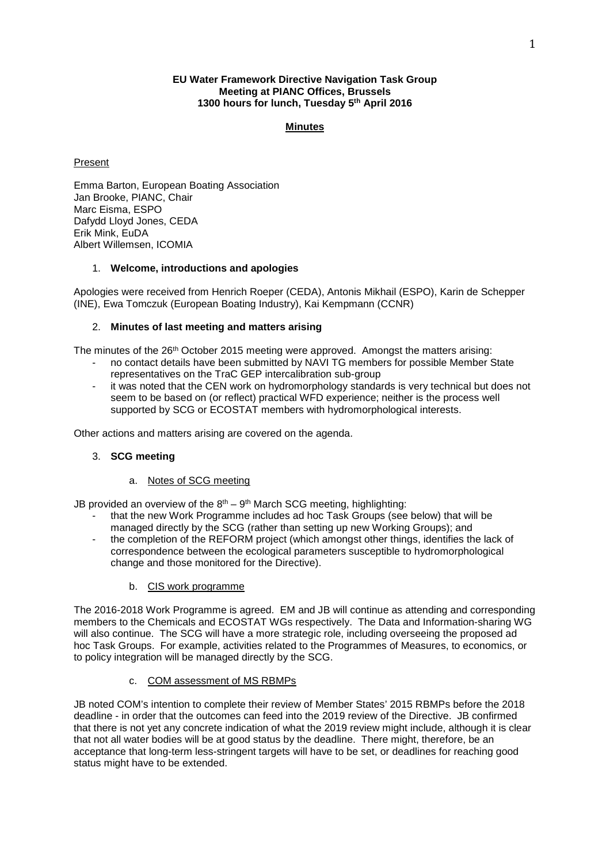### **EU Water Framework Directive Navigation Task Group Meeting at PIANC Offices, Brussels 1300 hours for lunch, Tuesday 5th April 2016**

## **Minutes**

## Present

Emma Barton, European Boating Association Jan Brooke, PIANC, Chair Marc Eisma, ESPO Dafydd Lloyd Jones, CEDA Erik Mink, EuDA Albert Willemsen, ICOMIA

### 1. **Welcome, introductions and apologies**

Apologies were received from Henrich Roeper (CEDA), Antonis Mikhail (ESPO), Karin de Schepper (INE), Ewa Tomczuk (European Boating Industry), Kai Kempmann (CCNR)

### 2. **Minutes of last meeting and matters arising**

The minutes of the  $26<sup>th</sup>$  October 2015 meeting were approved. Amongst the matters arising:

- no contact details have been submitted by NAVI TG members for possible Member State representatives on the TraC GEP intercalibration sub-group
- it was noted that the CEN work on hydromorphology standards is very technical but does not seem to be based on (or reflect) practical WFD experience; neither is the process well supported by SCG or ECOSTAT members with hydromorphological interests.

Other actions and matters arising are covered on the agenda.

## 3. **SCG meeting**

#### a. Notes of SCG meeting

JB provided an overview of the  $8<sup>th</sup> - 9<sup>th</sup>$  March SCG meeting, highlighting:

- that the new Work Programme includes ad hoc Task Groups (see below) that will be managed directly by the SCG (rather than setting up new Working Groups); and
- the completion of the REFORM project (which amongst other things, identifies the lack of correspondence between the ecological parameters susceptible to hydromorphological change and those monitored for the Directive).
	- b. CIS work programme

The 2016-2018 Work Programme is agreed. EM and JB will continue as attending and corresponding members to the Chemicals and ECOSTAT WGs respectively. The Data and Information-sharing WG will also continue. The SCG will have a more strategic role, including overseeing the proposed ad hoc Task Groups. For example, activities related to the Programmes of Measures, to economics, or to policy integration will be managed directly by the SCG.

### c. COM assessment of MS RBMPs

JB noted COM's intention to complete their review of Member States' 2015 RBMPs before the 2018 deadline - in order that the outcomes can feed into the 2019 review of the Directive. JB confirmed that there is not yet any concrete indication of what the 2019 review might include, although it is clear that not all water bodies will be at good status by the deadline. There might, therefore, be an acceptance that long-term less-stringent targets will have to be set, or deadlines for reaching good status might have to be extended.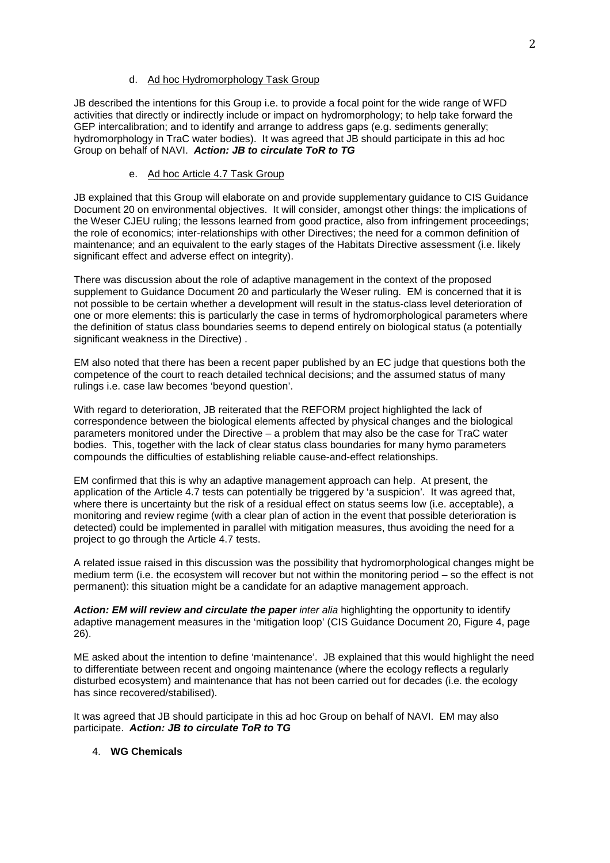### d. Ad hoc Hydromorphology Task Group

JB described the intentions for this Group i.e. to provide a focal point for the wide range of WFD activities that directly or indirectly include or impact on hydromorphology; to help take forward the GEP intercalibration; and to identify and arrange to address gaps (e.g. sediments generally; hydromorphology in TraC water bodies). It was agreed that JB should participate in this ad hoc Group on behalf of NAVI. *Action: JB to circulate ToR to TG*

### e. Ad hoc Article 4.7 Task Group

JB explained that this Group will elaborate on and provide supplementary guidance to CIS Guidance Document 20 on environmental objectives. It will consider, amongst other things: the implications of the Weser CJEU ruling; the lessons learned from good practice, also from infringement proceedings; the role of economics; inter-relationships with other Directives; the need for a common definition of maintenance; and an equivalent to the early stages of the Habitats Directive assessment (i.e. likely significant effect and adverse effect on integrity).

There was discussion about the role of adaptive management in the context of the proposed supplement to Guidance Document 20 and particularly the Weser ruling. EM is concerned that it is not possible to be certain whether a development will result in the status-class level deterioration of one or more elements: this is particularly the case in terms of hydromorphological parameters where the definition of status class boundaries seems to depend entirely on biological status (a potentially significant weakness in the Directive) .

EM also noted that there has been a recent paper published by an EC judge that questions both the competence of the court to reach detailed technical decisions; and the assumed status of many rulings i.e. case law becomes 'beyond question'.

With regard to deterioration, JB reiterated that the REFORM project highlighted the lack of correspondence between the biological elements affected by physical changes and the biological parameters monitored under the Directive – a problem that may also be the case for TraC water bodies. This, together with the lack of clear status class boundaries for many hymo parameters compounds the difficulties of establishing reliable cause-and-effect relationships.

EM confirmed that this is why an adaptive management approach can help. At present, the application of the Article 4.7 tests can potentially be triggered by 'a suspicion'. It was agreed that, where there is uncertainty but the risk of a residual effect on status seems low (i.e. acceptable), a monitoring and review regime (with a clear plan of action in the event that possible deterioration is detected) could be implemented in parallel with mitigation measures, thus avoiding the need for a project to go through the Article 4.7 tests.

A related issue raised in this discussion was the possibility that hydromorphological changes might be medium term (i.e. the ecosystem will recover but not within the monitoring period – so the effect is not permanent): this situation might be a candidate for an adaptive management approach.

Action: EM will review and circulate the paper *inter alia* highlighting the opportunity to identify adaptive management measures in the 'mitigation loop' (CIS Guidance Document 20, Figure 4, page 26).

ME asked about the intention to define 'maintenance'. JB explained that this would highlight the need to differentiate between recent and ongoing maintenance (where the ecology reflects a regularly disturbed ecosystem) and maintenance that has not been carried out for decades (i.e. the ecology has since recovered/stabilised).

It was agreed that JB should participate in this ad hoc Group on behalf of NAVI. EM may also participate. *Action: JB to circulate ToR to TG* 

#### 4. **WG Chemicals**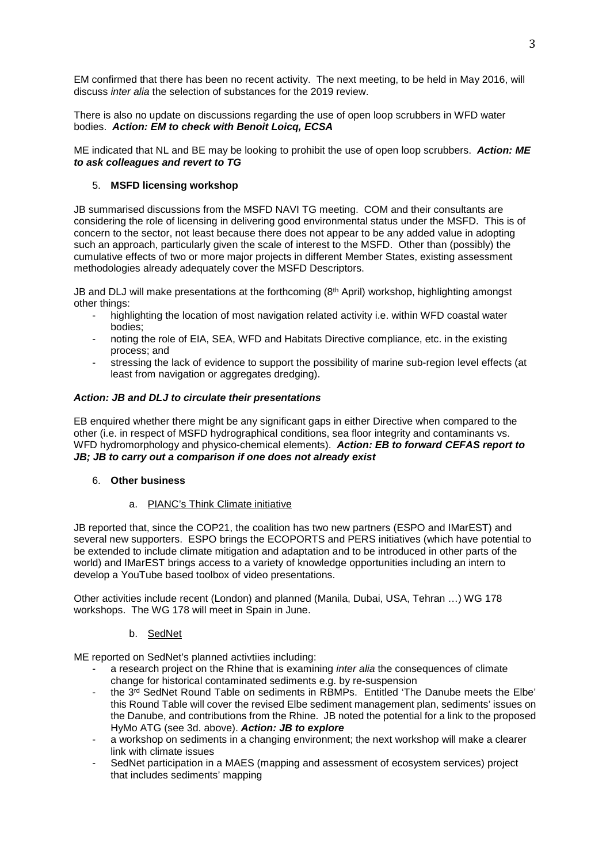EM confirmed that there has been no recent activity. The next meeting, to be held in May 2016, will discuss *inter alia* the selection of substances for the 2019 review.

There is also no update on discussions regarding the use of open loop scrubbers in WFD water bodies. *Action: EM to check with Benoit Loicq, ECSA*

ME indicated that NL and BE may be looking to prohibit the use of open loop scrubbers. *Action: ME to ask colleagues and revert to TG*

## 5. **MSFD licensing workshop**

JB summarised discussions from the MSFD NAVI TG meeting. COM and their consultants are considering the role of licensing in delivering good environmental status under the MSFD. This is of concern to the sector, not least because there does not appear to be any added value in adopting such an approach, particularly given the scale of interest to the MSFD. Other than (possibly) the cumulative effects of two or more major projects in different Member States, existing assessment methodologies already adequately cover the MSFD Descriptors.

JB and DLJ will make presentations at the forthcoming (8<sup>th</sup> April) workshop, highlighting amongst other things:

- highlighting the location of most navigation related activity i.e. within WFD coastal water bodies;
- noting the role of EIA, SEA, WFD and Habitats Directive compliance, etc. in the existing process; and
- stressing the lack of evidence to support the possibility of marine sub-region level effects (at least from navigation or aggregates dredging).

## *Action: JB and DLJ to circulate their presentations*

EB enquired whether there might be any significant gaps in either Directive when compared to the other (i.e. in respect of MSFD hydrographical conditions, sea floor integrity and contaminants vs. WFD hydromorphology and physico-chemical elements). *Action: EB to forward CEFAS report to JB; JB to carry out a comparison if one does not already exist*

#### 6. **Other business**

### a. PIANC's Think Climate initiative

JB reported that, since the COP21, the coalition has two new partners (ESPO and IMarEST) and several new supporters. ESPO brings the ECOPORTS and PERS initiatives (which have potential to be extended to include climate mitigation and adaptation and to be introduced in other parts of the world) and IMarEST brings access to a variety of knowledge opportunities including an intern to develop a YouTube based toolbox of video presentations.

Other activities include recent (London) and planned (Manila, Dubai, USA, Tehran …) WG 178 workshops. The WG 178 will meet in Spain in June.

## b. SedNet

ME reported on SedNet's planned activtiies including:

- a research project on the Rhine that is examining *inter alia* the consequences of climate change for historical contaminated sediments e.g. by re-suspension
- the 3rd SedNet Round Table on sediments in RBMPs. Entitled 'The Danube meets the Elbe' this Round Table will cover the revised Elbe sediment management plan, sediments' issues on the Danube, and contributions from the Rhine. JB noted the potential for a link to the proposed HyMo ATG (see 3d. above). *Action: JB to explore*
- a workshop on sediments in a changing environment; the next workshop will make a clearer link with climate issues
- SedNet participation in a MAES (mapping and assessment of ecosystem services) project that includes sediments' mapping